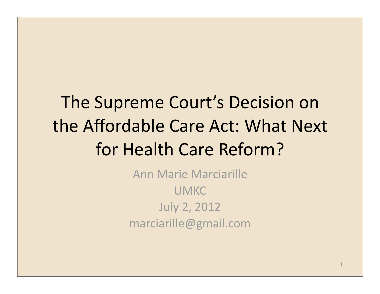# The Supreme Court's Decision on the Affordable Care Act: What Next for Health Care Reform?

Ann Marie Marciarille UMKC July 2, 2012 marciarille@gmail.com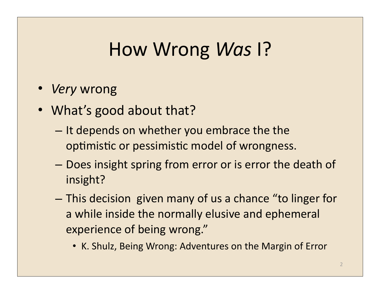### How Wrong *Was* P

- *Very* wrong
- What's good about that?
	- $-$  It depends on whether you embrace the the optimistic or pessimistic model of wrongness.
	- $-$  Does insight spring from error or is error the death of insight?
	- $-$  This decision given many of us a chance "to linger for a while inside the normally elusive and ephemeral experience of being wrong."
		- K. Shulz, Being Wrong: Adventures on the Margin of Error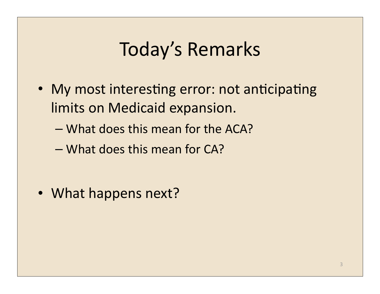### Today's Remarks

- My most interesting error: not anticipating limits on Medicaid expansion.
	- What does this mean for the ACA?
	- What does this mean for CA?

• What happens next?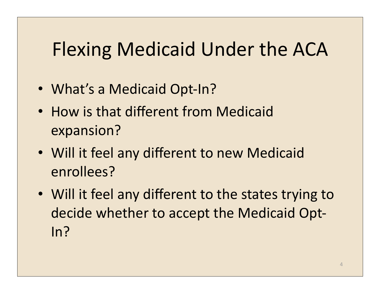## Flexing Medicaid Under the ACA

- What's a Medicaid Opt-In?
- How is that different from Medicaid expansion?
- Will it feel any different to new Medicaid enrollees?
- Will it feel any different to the states trying to decide whether to accept the Medicaid Opt-In?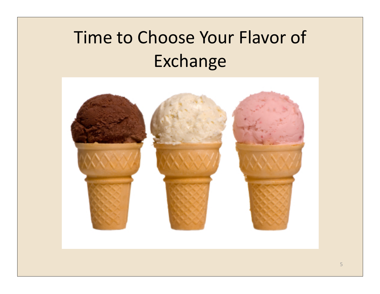# Time to Choose Your Flavor of Exchange

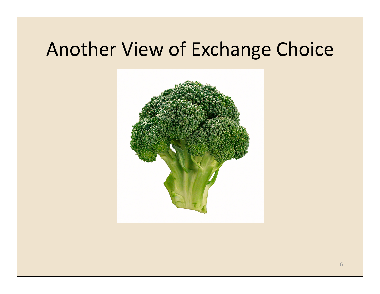### Another View of Exchange Choice

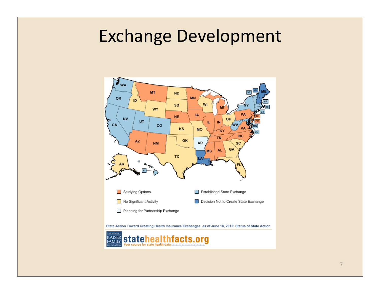#### Exchange Development



7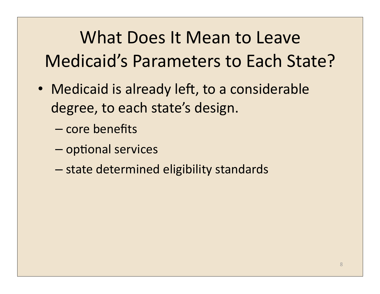# What Does It Mean to Leave Medicaid's Parameters to Each State?

- Medicaid is already left, to a considerable degree, to each state's design.
	- core benefits
	- $-$  optional services
	- state determined eligibility standards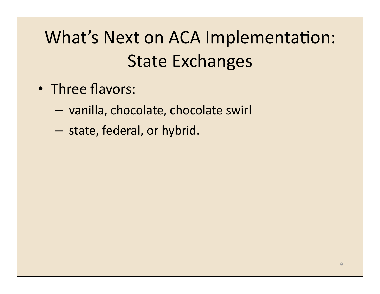## What's Next on ACA Implementation: **State Exchanges**

- Three flavors:
	- $-$  vanilla, chocolate, chocolate swirl
	- state, federal, or hybrid.